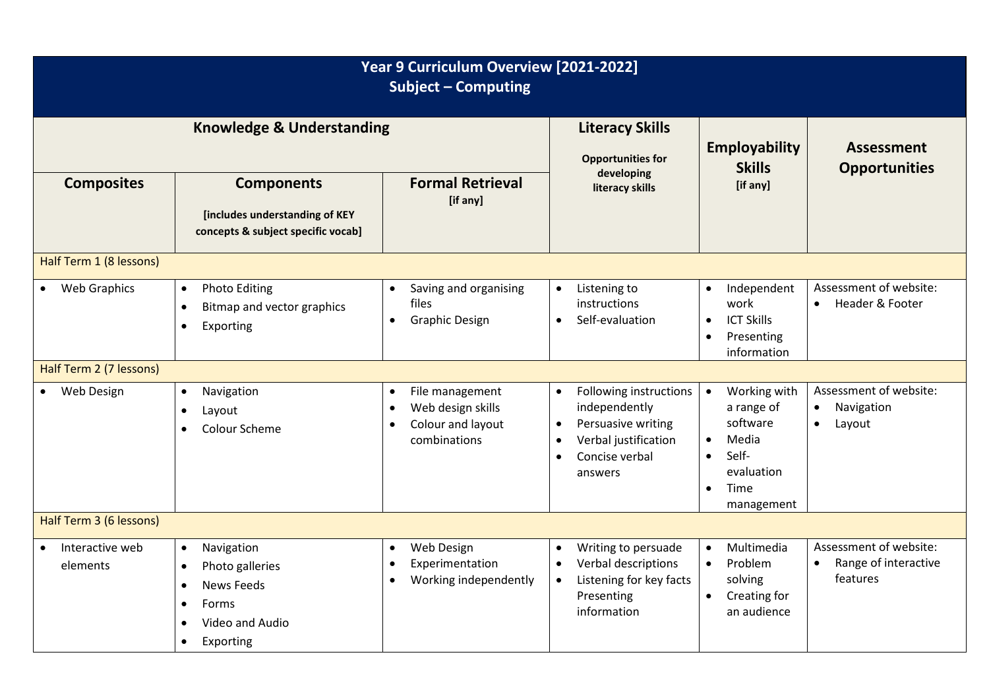| Year 9 Curriculum Overview [2021-2022]<br><b>Subject - Computing</b> |                                                                                                                                                              |                                                                                                                  |                                                                                                                                                           |                                                                                                                                                  |                                                                          |  |  |
|----------------------------------------------------------------------|--------------------------------------------------------------------------------------------------------------------------------------------------------------|------------------------------------------------------------------------------------------------------------------|-----------------------------------------------------------------------------------------------------------------------------------------------------------|--------------------------------------------------------------------------------------------------------------------------------------------------|--------------------------------------------------------------------------|--|--|
| <b>Knowledge &amp; Understanding</b>                                 |                                                                                                                                                              |                                                                                                                  | <b>Literacy Skills</b><br><b>Opportunities for</b>                                                                                                        | Employability<br><b>Skills</b>                                                                                                                   | <b>Assessment</b><br><b>Opportunities</b>                                |  |  |
| <b>Composites</b>                                                    | <b>Components</b><br>[includes understanding of KEY<br>concepts & subject specific vocab]                                                                    | <b>Formal Retrieval</b><br>[if any]                                                                              | developing<br>literacy skills                                                                                                                             | [if any]                                                                                                                                         |                                                                          |  |  |
| Half Term 1 (8 lessons)                                              |                                                                                                                                                              |                                                                                                                  |                                                                                                                                                           |                                                                                                                                                  |                                                                          |  |  |
| • Web Graphics                                                       | <b>Photo Editing</b><br>$\bullet$<br>Bitmap and vector graphics<br>$\bullet$<br>Exporting<br>$\bullet$                                                       | Saving and organising<br>$\bullet$<br>files<br><b>Graphic Design</b><br>$\bullet$                                | Listening to<br>$\bullet$<br>instructions<br>Self-evaluation<br>$\bullet$                                                                                 | Independent<br>$\bullet$<br>work<br><b>ICT Skills</b><br>$\bullet$<br>Presenting<br>$\bullet$<br>information                                     | Assessment of website:<br>Header & Footer<br>$\bullet$                   |  |  |
| Half Term 2 (7 lessons)                                              |                                                                                                                                                              |                                                                                                                  |                                                                                                                                                           |                                                                                                                                                  |                                                                          |  |  |
| Web Design<br>$\bullet$                                              | Navigation<br>$\bullet$<br>Layout<br>$\bullet$<br>Colour Scheme<br>$\bullet$                                                                                 | File management<br>$\bullet$<br>Web design skills<br>$\bullet$<br>Colour and layout<br>$\bullet$<br>combinations | Following instructions<br>$\bullet$<br>independently<br>Persuasive writing<br>$\bullet$<br>Verbal justification<br>Concise verbal<br>$\bullet$<br>answers | Working with<br>$\bullet$<br>a range of<br>software<br>Media<br>$\bullet$<br>Self-<br>$\bullet$<br>evaluation<br>Time<br>$\bullet$<br>management | Assessment of website:<br>Navigation<br>$\bullet$<br>Layout<br>$\bullet$ |  |  |
| Half Term 3 (6 lessons)                                              |                                                                                                                                                              |                                                                                                                  |                                                                                                                                                           |                                                                                                                                                  |                                                                          |  |  |
| Interactive web<br>$\bullet$<br>elements                             | Navigation<br>$\bullet$<br>Photo galleries<br>$\bullet$<br><b>News Feeds</b><br>$\bullet$<br>Forms<br>$\bullet$<br>Video and Audio<br>Exporting<br>$\bullet$ | Web Design<br>$\bullet$<br>Experimentation<br>$\bullet$<br>Working independently<br>$\bullet$                    | Writing to persuade<br>$\bullet$<br>Verbal descriptions<br>$\bullet$<br>Listening for key facts<br>$\bullet$<br>Presenting<br>information                 | Multimedia<br>$\bullet$<br>Problem<br>$\bullet$<br>solving<br>$\bullet$<br>Creating for<br>an audience                                           | Assessment of website:<br>Range of interactive<br>$\bullet$<br>features  |  |  |